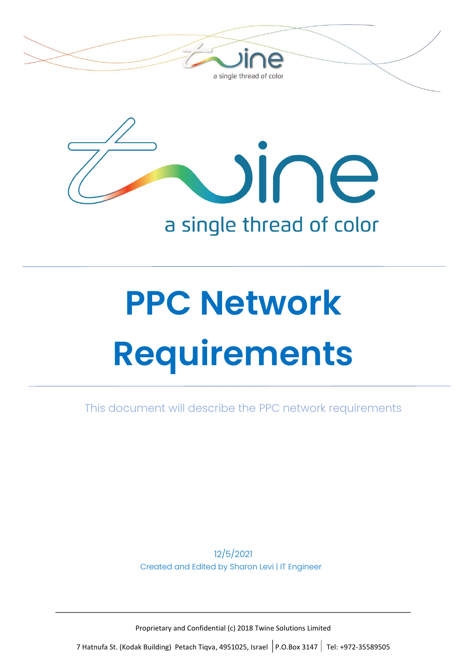



# a single thread of color

# **PPC Network Requirements**

This document will describe the PPC network requirements

12/5/2021 Created and Edited by Sharon Levi | IT Engineer

Proprietary and Confidential (c) 2018 Twine Solutions Limited

7 Hatnufa St. (Kodak Building) Petach Tiqva, 4951025, Israel P.O.Box 3147 Tel: +972-35589505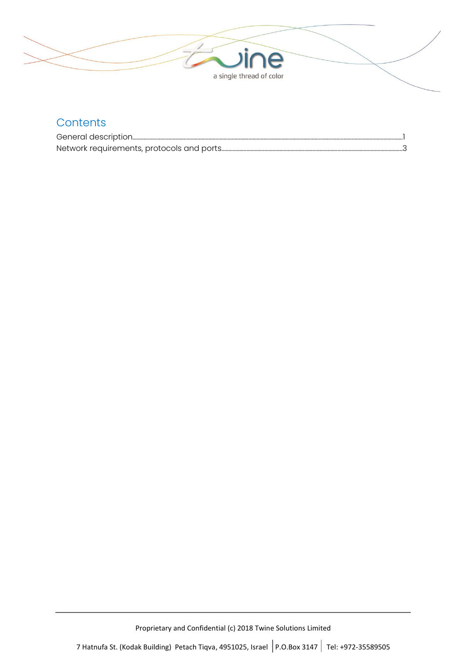

#### **Contents**

| General description |  |
|---------------------|--|
|                     |  |

Proprietary and Confidential (c) 2018 Twine Solutions Limited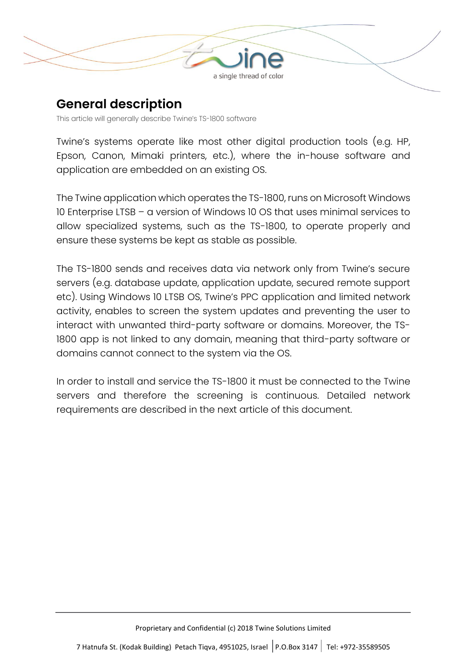

## **General description**

This article will generally describe Twine's TS-1800 software

Twine's systems operate like most other digital production tools (e.g. HP, Epson, Canon, Mimaki printers, etc.), where the in-house software and application are embedded on an existing OS.

The Twine application which operates the TS-1800, runs on Microsoft Windows 10 Enterprise LTSB – a version of Windows 10 OS that uses minimal services to allow specialized systems, such as the TS-1800, to operate properly and ensure these systems be kept as stable as possible.

The TS-1800 sends and receives data via network only from Twine's secure servers (e.g. database update, application update, secured remote support etc). Using Windows 10 LTSB OS, Twine's PPC application and limited network activity, enables to screen the system updates and preventing the user to interact with unwanted third-party software or domains. Moreover, the TS-1800 app is not linked to any domain, meaning that third-party software or domains cannot connect to the system via the OS.

In order to install and service the TS-1800 it must be connected to the Twine servers and therefore the screening is continuous. Detailed network requirements are described in the next article of this document.

Proprietary and Confidential (c) 2018 Twine Solutions Limited